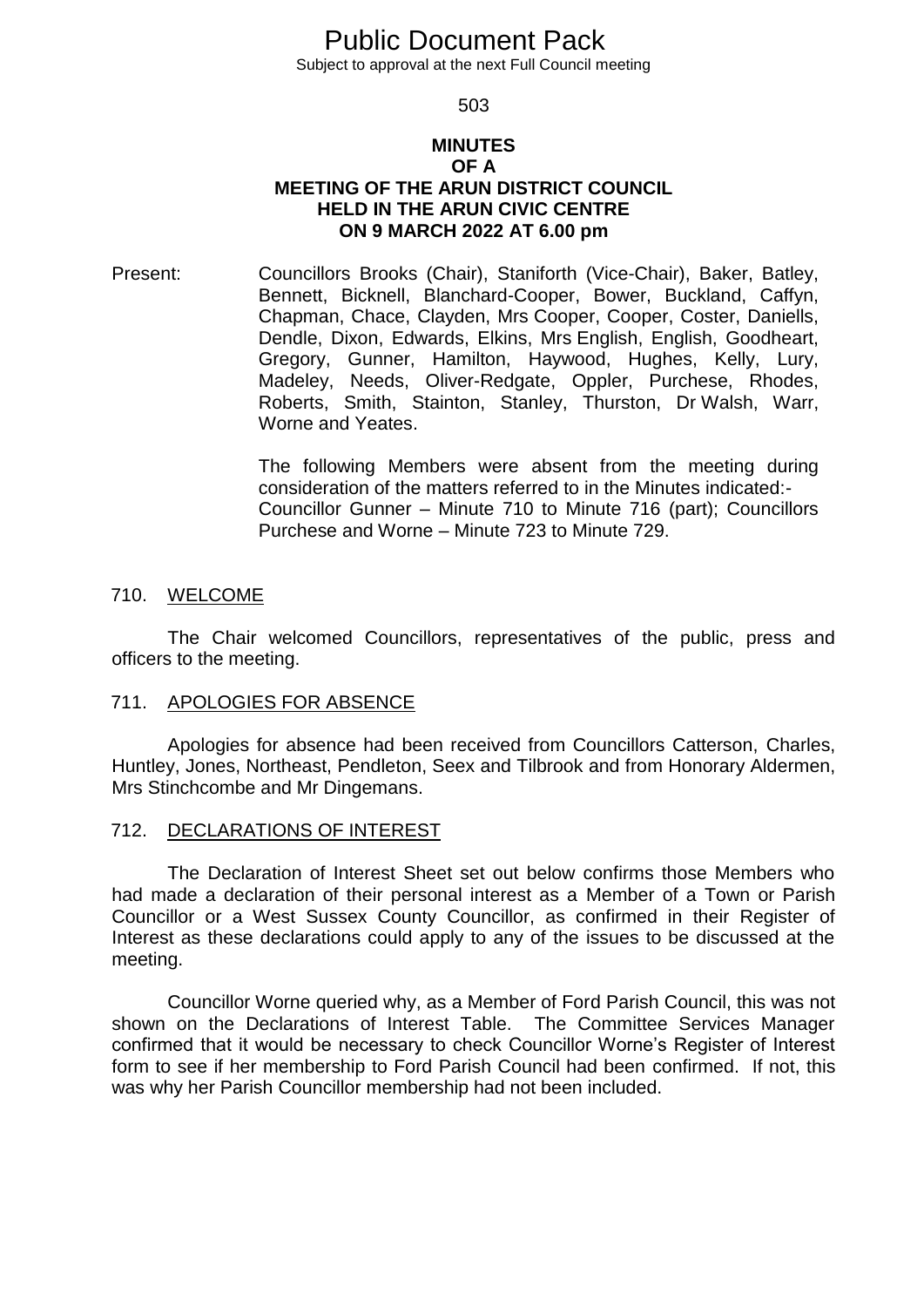# Public Document Pack

Subject to approval at the next Full Council meeting

503

#### **MINUTES OF A MEETING OF THE ARUN DISTRICT COUNCIL HELD IN THE ARUN CIVIC CENTRE ON 9 MARCH 2022 AT 6.00 pm**

Present: Councillors Brooks (Chair), Staniforth (Vice-Chair), Baker, Batley, Bennett, Bicknell, Blanchard-Cooper, Bower, Buckland, Caffyn, Chapman, Chace, Clayden, Mrs Cooper, Cooper, Coster, Daniells, Dendle, Dixon, Edwards, Elkins, Mrs English, English, Goodheart, Gregory, Gunner, Hamilton, Haywood, Hughes, Kelly, Lury, Madeley, Needs, Oliver-Redgate, Oppler, Purchese, Rhodes, Roberts, Smith, Stainton, Stanley, Thurston, Dr Walsh, Warr, Worne and Yeates.

> The following Members were absent from the meeting during consideration of the matters referred to in the Minutes indicated:- Councillor Gunner – Minute 710 to Minute 716 (part); Councillors Purchese and Worne – Minute 723 to Minute 729.

#### 710. WELCOME

The Chair welcomed Councillors, representatives of the public, press and officers to the meeting.

#### 711. APOLOGIES FOR ABSENCE

Apologies for absence had been received from Councillors Catterson, Charles, Huntley, Jones, Northeast, Pendleton, Seex and Tilbrook and from Honorary Aldermen, Mrs Stinchcombe and Mr Dingemans.

#### 712. DECLARATIONS OF INTEREST

The Declaration of Interest Sheet set out below confirms those Members who had made a declaration of their personal interest as a Member of a Town or Parish Councillor or a West Sussex County Councillor, as confirmed in their Register of Interest as these declarations could apply to any of the issues to be discussed at the meeting.

Councillor Worne queried why, as a Member of Ford Parish Council, this was not shown on the Declarations of Interest Table. The Committee Services Manager confirmed that it would be necessary to check Councillor Worne's Register of Interest form to see if her membership to Ford Parish Council had been confirmed. If not, this was why her Parish Councillor membership had not been included.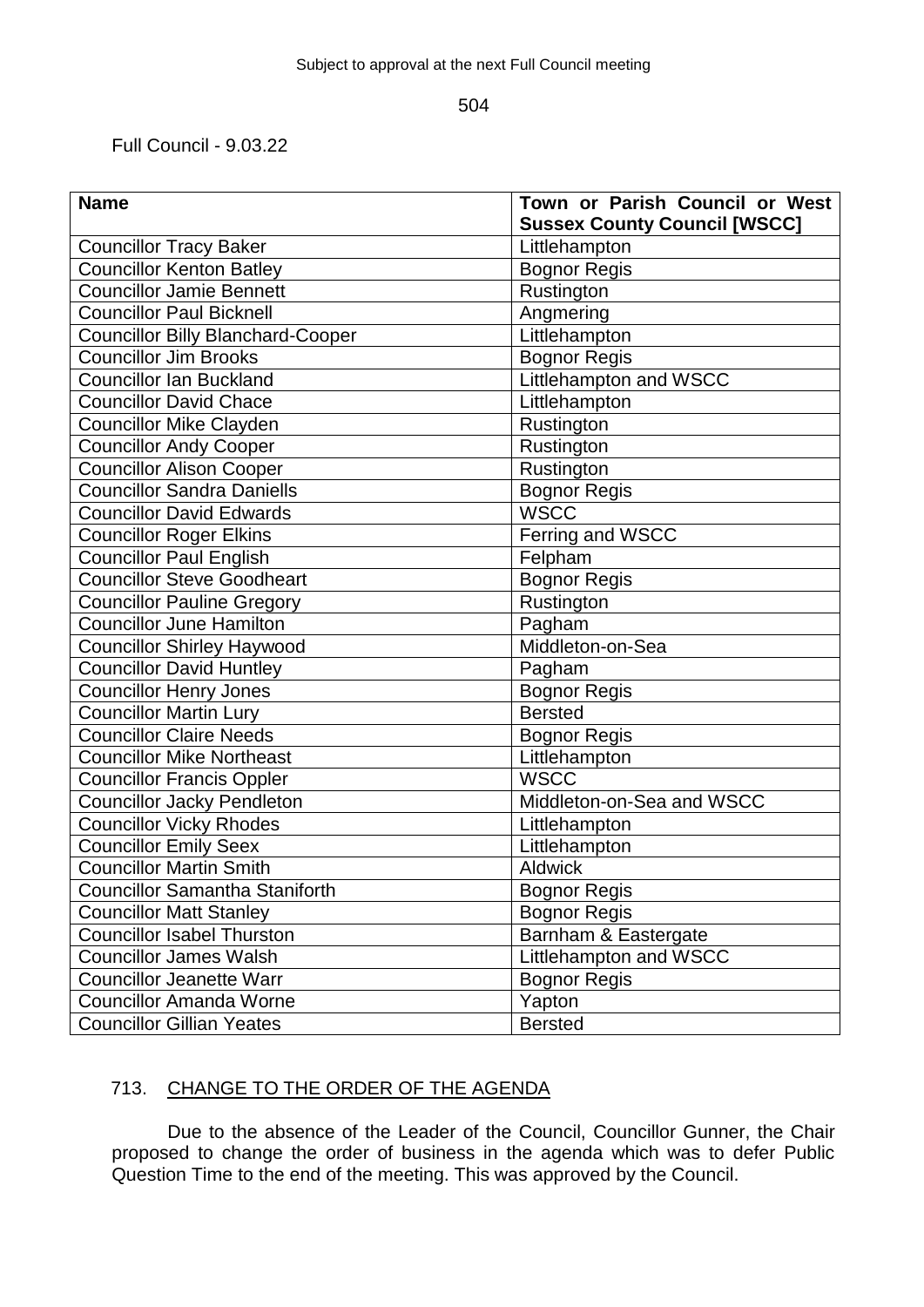Full Council - 9.03.22

| <b>Name</b>                              | Town or Parish Council or West      |
|------------------------------------------|-------------------------------------|
|                                          | <b>Sussex County Council [WSCC]</b> |
| <b>Councillor Tracy Baker</b>            | Littlehampton                       |
| <b>Councillor Kenton Batley</b>          | <b>Bognor Regis</b>                 |
| <b>Councillor Jamie Bennett</b>          | Rustington                          |
| <b>Councillor Paul Bicknell</b>          | Angmering                           |
| <b>Councillor Billy Blanchard-Cooper</b> | Littlehampton                       |
| <b>Councillor Jim Brooks</b>             | <b>Bognor Regis</b>                 |
| <b>Councillor Ian Buckland</b>           | Littlehampton and WSCC              |
| <b>Councillor David Chace</b>            | Littlehampton                       |
| <b>Councillor Mike Clayden</b>           | Rustington                          |
| <b>Councillor Andy Cooper</b>            | Rustington                          |
| <b>Councillor Alison Cooper</b>          | Rustington                          |
| <b>Councillor Sandra Daniells</b>        | <b>Bognor Regis</b>                 |
| <b>Councillor David Edwards</b>          | <b>WSCC</b>                         |
| <b>Councillor Roger Elkins</b>           | Ferring and WSCC                    |
| <b>Councillor Paul English</b>           | Felpham                             |
| <b>Councillor Steve Goodheart</b>        | <b>Bognor Regis</b>                 |
| <b>Councillor Pauline Gregory</b>        | Rustington                          |
| <b>Councillor June Hamilton</b>          | Pagham                              |
| <b>Councillor Shirley Haywood</b>        | Middleton-on-Sea                    |
| <b>Councillor David Huntley</b>          | Pagham                              |
| <b>Councillor Henry Jones</b>            | <b>Bognor Regis</b>                 |
| <b>Councillor Martin Lury</b>            | <b>Bersted</b>                      |
| <b>Councillor Claire Needs</b>           | <b>Bognor Regis</b>                 |
| <b>Councillor Mike Northeast</b>         | Littlehampton                       |
| <b>Councillor Francis Oppler</b>         | <b>WSCC</b>                         |
| <b>Councillor Jacky Pendleton</b>        | Middleton-on-Sea and WSCC           |
| <b>Councillor Vicky Rhodes</b>           | Littlehampton                       |
| <b>Councillor Emily Seex</b>             | Littlehampton                       |
| <b>Councillor Martin Smith</b>           | <b>Aldwick</b>                      |
| <b>Councillor Samantha Staniforth</b>    | <b>Bognor Regis</b>                 |
| <b>Councillor Matt Stanley</b>           | <b>Bognor Regis</b>                 |
| <b>Councillor Isabel Thurston</b>        | Barnham & Eastergate                |
| <b>Councillor James Walsh</b>            | Littlehampton and WSCC              |
| <b>Councillor Jeanette Warr</b>          | <b>Bognor Regis</b>                 |
| <b>Councillor Amanda Worne</b>           | Yapton                              |
| <b>Councillor Gillian Yeates</b>         | <b>Bersted</b>                      |

## 713. CHANGE TO THE ORDER OF THE AGENDA

Due to the absence of the Leader of the Council, Councillor Gunner, the Chair proposed to change the order of business in the agenda which was to defer Public Question Time to the end of the meeting. This was approved by the Council.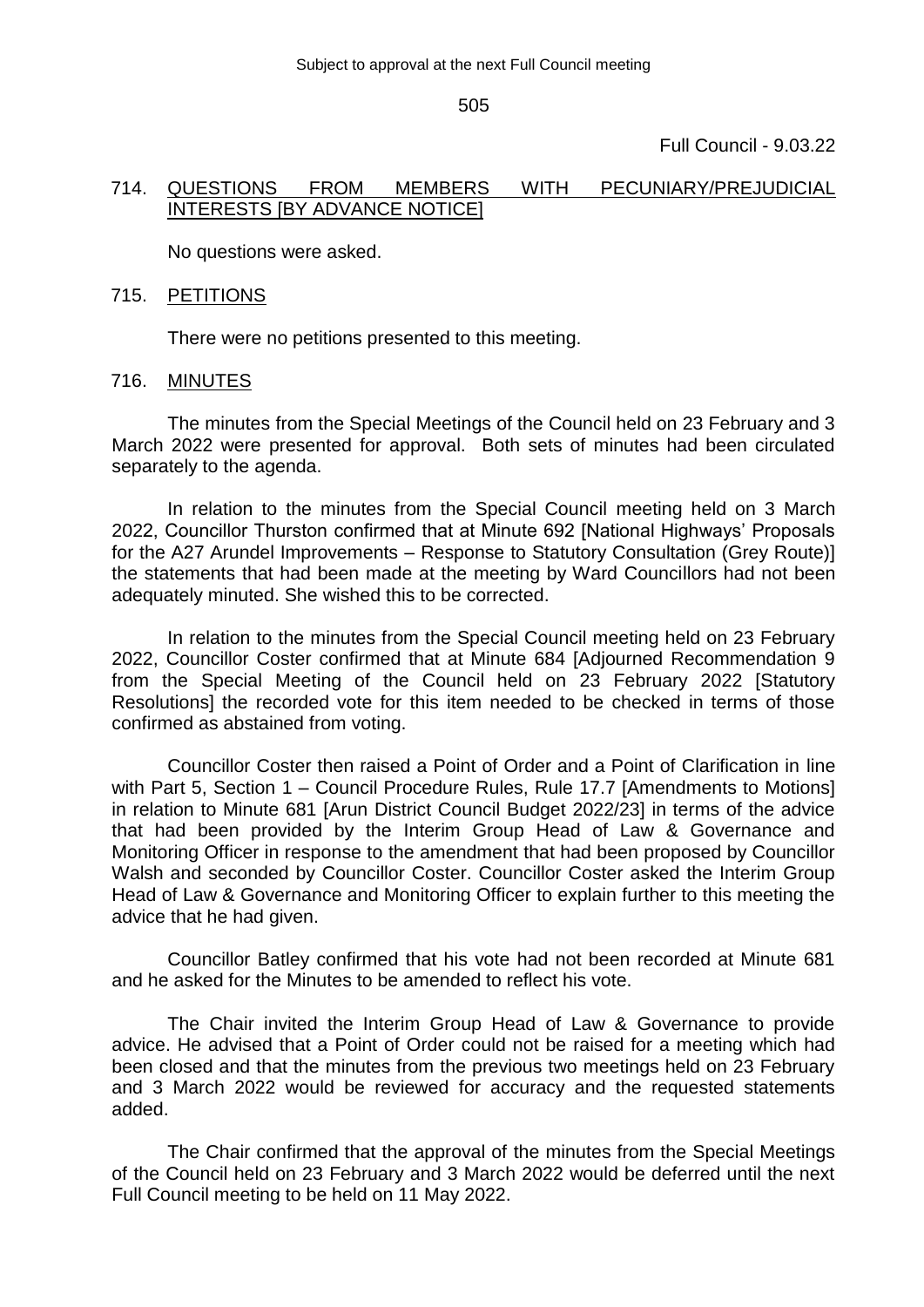Full Council - 9.03.22

#### 714. QUESTIONS FROM MEMBERS WITH PECUNIARY/PREJUDICIAL INTERESTS [BY ADVANCE NOTICE]

No questions were asked.

#### 715. PETITIONS

There were no petitions presented to this meeting.

#### 716. MINUTES

The minutes from the Special Meetings of the Council held on 23 February and 3 March 2022 were presented for approval. Both sets of minutes had been circulated separately to the agenda.

In relation to the minutes from the Special Council meeting held on 3 March 2022, Councillor Thurston confirmed that at Minute 692 [National Highways' Proposals for the A27 Arundel Improvements – Response to Statutory Consultation (Grey Route)] the statements that had been made at the meeting by Ward Councillors had not been adequately minuted. She wished this to be corrected.

In relation to the minutes from the Special Council meeting held on 23 February 2022, Councillor Coster confirmed that at Minute 684 [Adjourned Recommendation 9 from the Special Meeting of the Council held on 23 February 2022 [Statutory Resolutions] the recorded vote for this item needed to be checked in terms of those confirmed as abstained from voting.

Councillor Coster then raised a Point of Order and a Point of Clarification in line with Part 5, Section 1 – Council Procedure Rules, Rule 17.7 [Amendments to Motions] in relation to Minute 681 [Arun District Council Budget 2022/23] in terms of the advice that had been provided by the Interim Group Head of Law & Governance and Monitoring Officer in response to the amendment that had been proposed by Councillor Walsh and seconded by Councillor Coster. Councillor Coster asked the Interim Group Head of Law & Governance and Monitoring Officer to explain further to this meeting the advice that he had given.

Councillor Batley confirmed that his vote had not been recorded at Minute 681 and he asked for the Minutes to be amended to reflect his vote.

The Chair invited the Interim Group Head of Law & Governance to provide advice. He advised that a Point of Order could not be raised for a meeting which had been closed and that the minutes from the previous two meetings held on 23 February and 3 March 2022 would be reviewed for accuracy and the requested statements added.

The Chair confirmed that the approval of the minutes from the Special Meetings of the Council held on 23 February and 3 March 2022 would be deferred until the next Full Council meeting to be held on 11 May 2022.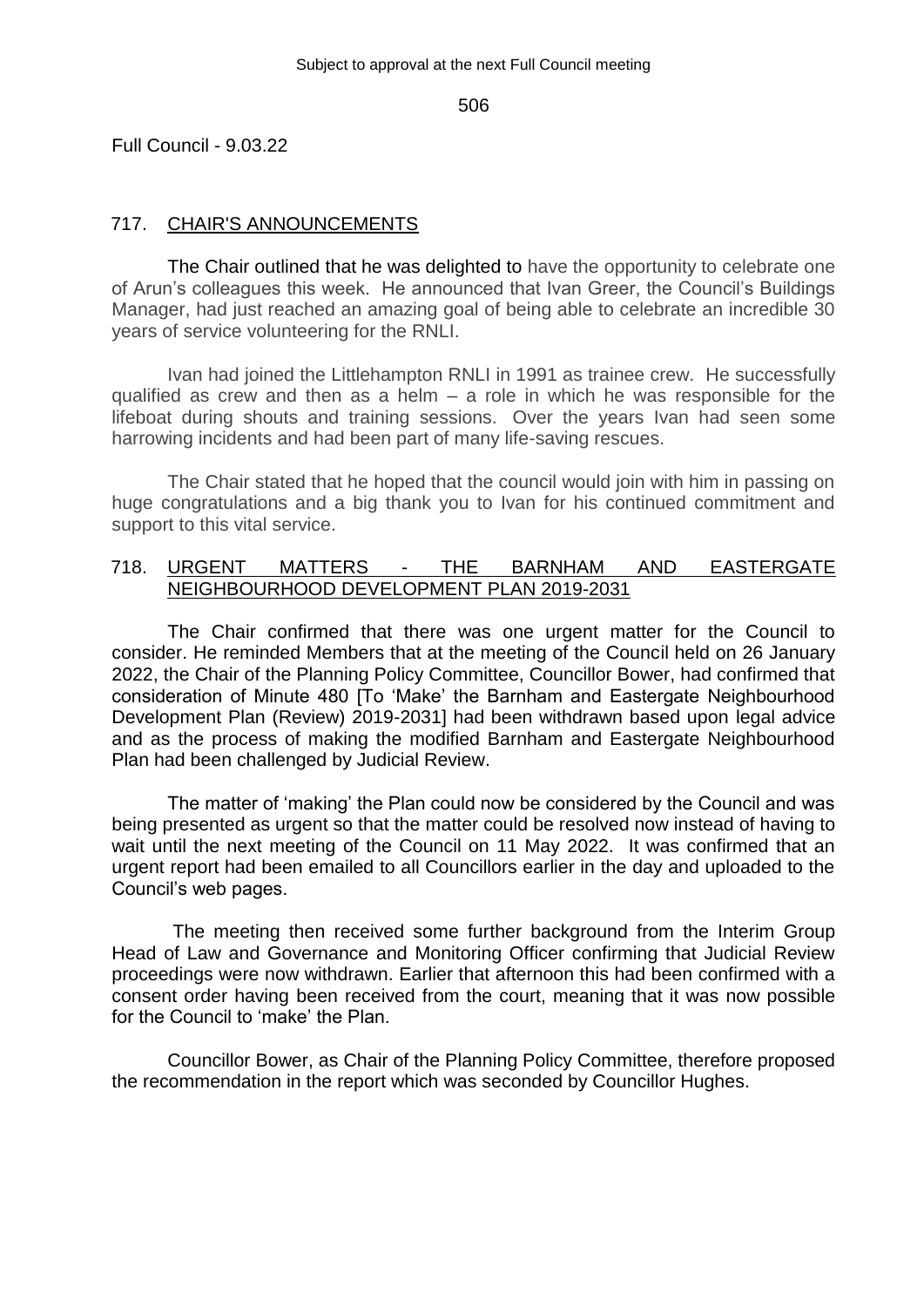Full Council - 9.03.22

## 717. CHAIR'S ANNOUNCEMENTS

The Chair outlined that he was delighted to have the opportunity to celebrate one of Arun's colleagues this week. He announced that Ivan Greer, the Council's Buildings Manager, had just reached an amazing goal of being able to celebrate an incredible 30 years of service volunteering for the RNLI.

Ivan had joined the Littlehampton RNLI in 1991 as trainee crew. He successfully qualified as crew and then as a helm  $-$  a role in which he was responsible for the lifeboat during shouts and training sessions. Over the years Ivan had seen some harrowing incidents and had been part of many life-saving rescues.

The Chair stated that he hoped that the council would join with him in passing on huge congratulations and a big thank you to Ivan for his continued commitment and support to this vital service.

## 718. URGENT MATTERS - THE BARNHAM AND EASTERGATE NEIGHBOURHOOD DEVELOPMENT PLAN 2019-2031

The Chair confirmed that there was one urgent matter for the Council to consider. He reminded Members that at the meeting of the Council held on 26 January 2022, the Chair of the Planning Policy Committee, Councillor Bower, had confirmed that consideration of Minute 480 [To 'Make' the Barnham and Eastergate Neighbourhood Development Plan (Review) 2019-2031] had been withdrawn based upon legal advice and as the process of making the modified Barnham and Eastergate Neighbourhood Plan had been challenged by Judicial Review.

The matter of 'making' the Plan could now be considered by the Council and was being presented as urgent so that the matter could be resolved now instead of having to wait until the next meeting of the Council on 11 May 2022. It was confirmed that an urgent report had been emailed to all Councillors earlier in the day and uploaded to the Council's web pages.

The meeting then received some further background from the Interim Group Head of Law and Governance and Monitoring Officer confirming that Judicial Review proceedings were now withdrawn. Earlier that afternoon this had been confirmed with a consent order having been received from the court, meaning that it was now possible for the Council to 'make' the Plan.

Councillor Bower, as Chair of the Planning Policy Committee, therefore proposed the recommendation in the report which was seconded by Councillor Hughes.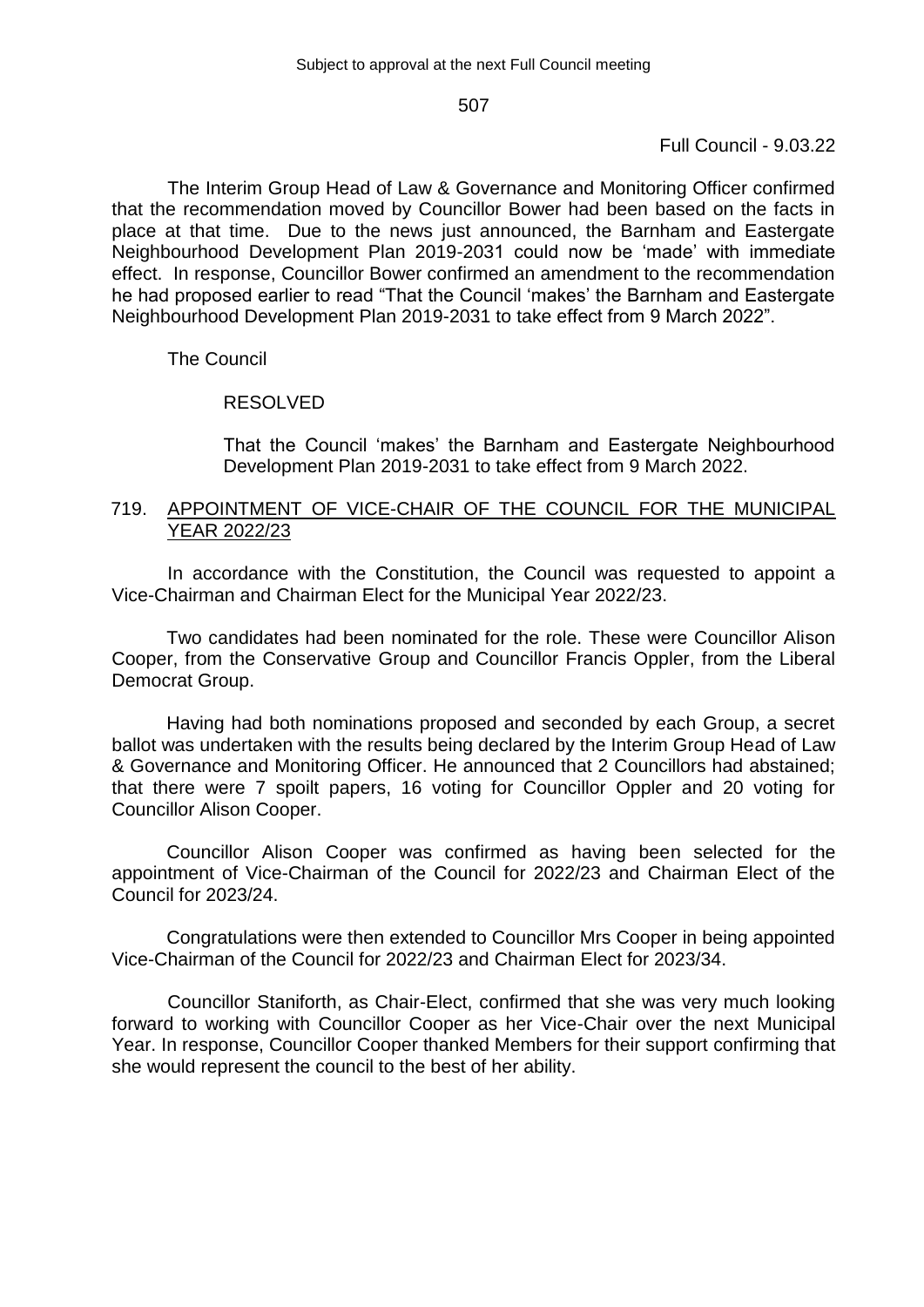## Full Council - 9.03.22

The Interim Group Head of Law & Governance and Monitoring Officer confirmed that the recommendation moved by Councillor Bower had been based on the facts in place at that time. Due to the news just announced, the Barnham and Eastergate Neighbourhood Development Plan 2019-2031 could now be 'made' with immediate effect. In response, Councillor Bower confirmed an amendment to the recommendation he had proposed earlier to read "That the Council 'makes' the Barnham and Eastergate Neighbourhood Development Plan 2019-2031 to take effect from 9 March 2022".

## The Council

#### RESOLVED

That the Council 'makes' the Barnham and Eastergate Neighbourhood Development Plan 2019-2031 to take effect from 9 March 2022.

## 719. APPOINTMENT OF VICE-CHAIR OF THE COUNCIL FOR THE MUNICIPAL YEAR 2022/23

In accordance with the Constitution, the Council was requested to appoint a Vice-Chairman and Chairman Elect for the Municipal Year 2022/23.

Two candidates had been nominated for the role. These were Councillor Alison Cooper, from the Conservative Group and Councillor Francis Oppler, from the Liberal Democrat Group.

Having had both nominations proposed and seconded by each Group, a secret ballot was undertaken with the results being declared by the Interim Group Head of Law & Governance and Monitoring Officer. He announced that 2 Councillors had abstained; that there were 7 spoilt papers, 16 voting for Councillor Oppler and 20 voting for Councillor Alison Cooper.

Councillor Alison Cooper was confirmed as having been selected for the appointment of Vice-Chairman of the Council for 2022/23 and Chairman Elect of the Council for 2023/24.

Congratulations were then extended to Councillor Mrs Cooper in being appointed Vice-Chairman of the Council for 2022/23 and Chairman Elect for 2023/34.

Councillor Staniforth, as Chair-Elect, confirmed that she was very much looking forward to working with Councillor Cooper as her Vice-Chair over the next Municipal Year. In response, Councillor Cooper thanked Members for their support confirming that she would represent the council to the best of her ability.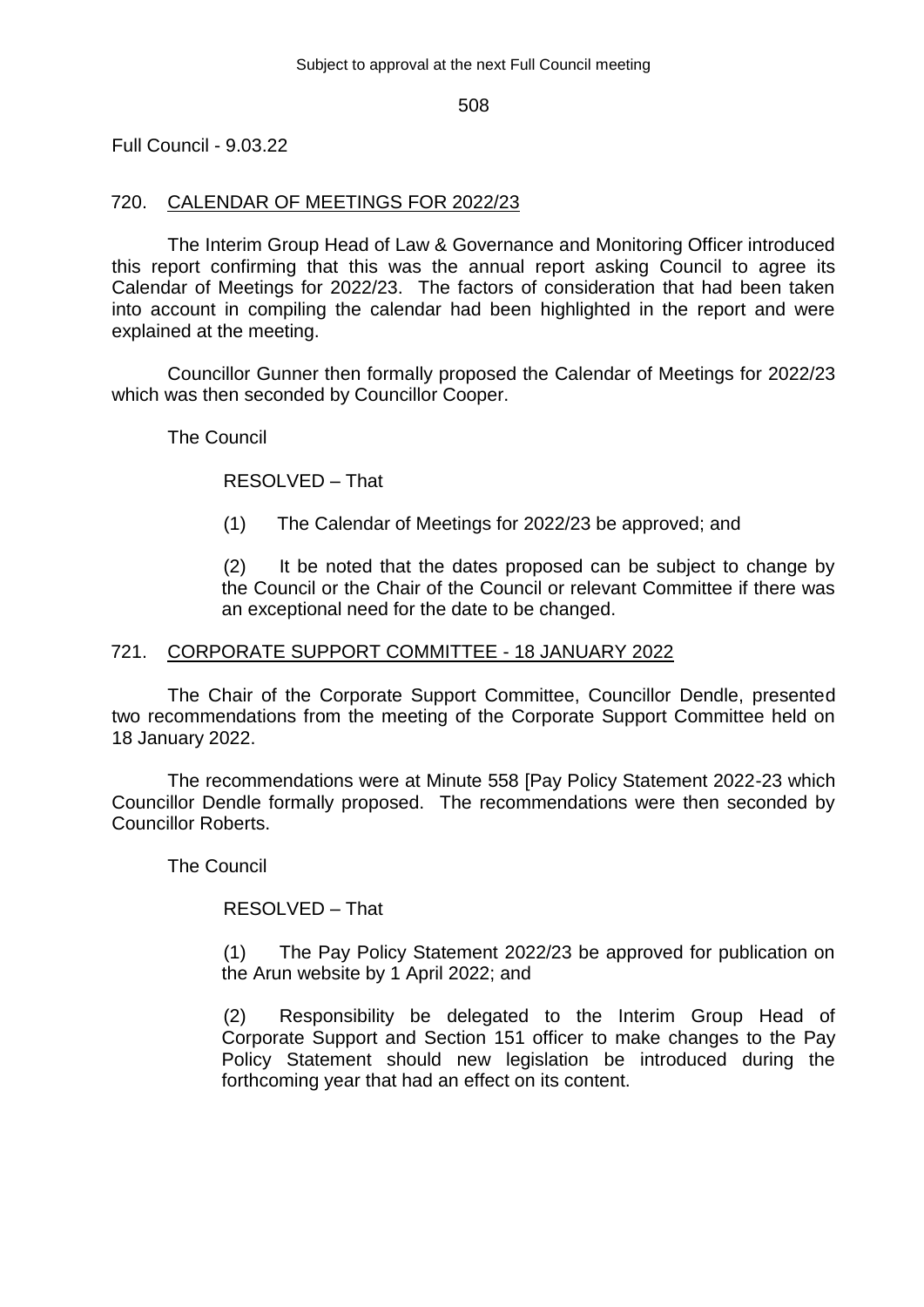Full Council - 9.03.22

## 720. CALENDAR OF MEETINGS FOR 2022/23

The Interim Group Head of Law & Governance and Monitoring Officer introduced this report confirming that this was the annual report asking Council to agree its Calendar of Meetings for 2022/23. The factors of consideration that had been taken into account in compiling the calendar had been highlighted in the report and were explained at the meeting.

Councillor Gunner then formally proposed the Calendar of Meetings for 2022/23 which was then seconded by Councillor Cooper.

The Council

RESOLVED – That

(1) The Calendar of Meetings for 2022/23 be approved; and

(2) It be noted that the dates proposed can be subject to change by the Council or the Chair of the Council or relevant Committee if there was an exceptional need for the date to be changed.

#### 721. CORPORATE SUPPORT COMMITTEE - 18 JANUARY 2022

The Chair of the Corporate Support Committee, Councillor Dendle, presented two recommendations from the meeting of the Corporate Support Committee held on 18 January 2022.

The recommendations were at Minute 558 [Pay Policy Statement 2022-23 which Councillor Dendle formally proposed. The recommendations were then seconded by Councillor Roberts.

The Council

RESOLVED – That

(1) The Pay Policy Statement 2022/23 be approved for publication on the Arun website by 1 April 2022; and

(2) Responsibility be delegated to the Interim Group Head of Corporate Support and Section 151 officer to make changes to the Pay Policy Statement should new legislation be introduced during the forthcoming year that had an effect on its content.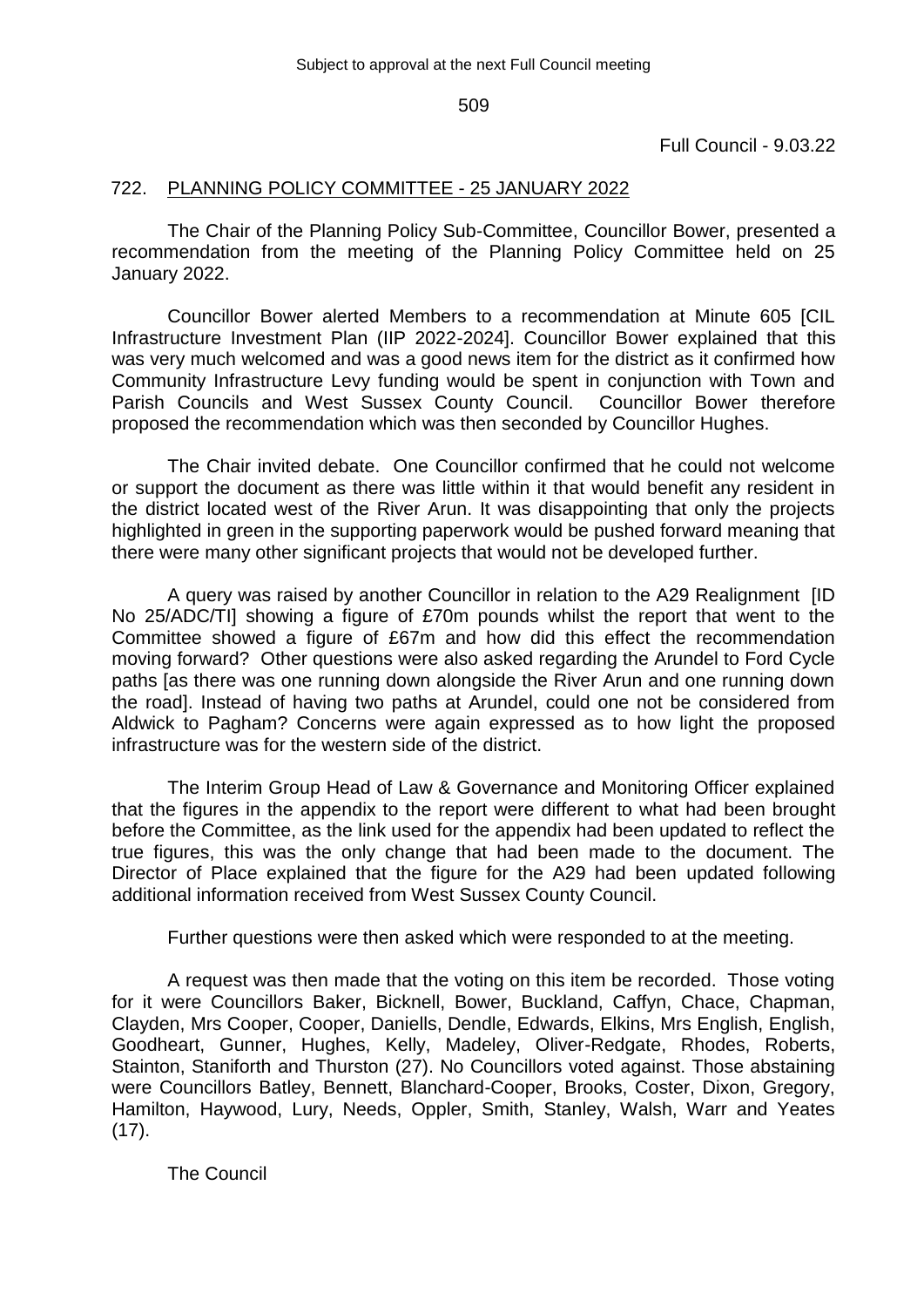Full Council - 9.03.22

## 722. PLANNING POLICY COMMITTEE - 25 JANUARY 2022

The Chair of the Planning Policy Sub-Committee, Councillor Bower, presented a recommendation from the meeting of the Planning Policy Committee held on 25 January 2022.

Councillor Bower alerted Members to a recommendation at Minute 605 [CIL Infrastructure Investment Plan (IIP 2022-2024]. Councillor Bower explained that this was very much welcomed and was a good news item for the district as it confirmed how Community Infrastructure Levy funding would be spent in conjunction with Town and Parish Councils and West Sussex County Council. Councillor Bower therefore proposed the recommendation which was then seconded by Councillor Hughes.

The Chair invited debate. One Councillor confirmed that he could not welcome or support the document as there was little within it that would benefit any resident in the district located west of the River Arun. It was disappointing that only the projects highlighted in green in the supporting paperwork would be pushed forward meaning that there were many other significant projects that would not be developed further.

A query was raised by another Councillor in relation to the A29 Realignment [ID No 25/ADC/TI] showing a figure of £70m pounds whilst the report that went to the Committee showed a figure of £67m and how did this effect the recommendation moving forward? Other questions were also asked regarding the Arundel to Ford Cycle paths [as there was one running down alongside the River Arun and one running down the road]. Instead of having two paths at Arundel, could one not be considered from Aldwick to Pagham? Concerns were again expressed as to how light the proposed infrastructure was for the western side of the district.

The Interim Group Head of Law & Governance and Monitoring Officer explained that the figures in the appendix to the report were different to what had been brought before the Committee, as the link used for the appendix had been updated to reflect the true figures, this was the only change that had been made to the document. The Director of Place explained that the figure for the A29 had been updated following additional information received from West Sussex County Council.

Further questions were then asked which were responded to at the meeting.

A request was then made that the voting on this item be recorded. Those voting for it were Councillors Baker, Bicknell, Bower, Buckland, Caffyn, Chace, Chapman, Clayden, Mrs Cooper, Cooper, Daniells, Dendle, Edwards, Elkins, Mrs English, English, Goodheart, Gunner, Hughes, Kelly, Madeley, Oliver-Redgate, Rhodes, Roberts, Stainton, Staniforth and Thurston (27). No Councillors voted against. Those abstaining were Councillors Batley, Bennett, Blanchard-Cooper, Brooks, Coster, Dixon, Gregory, Hamilton, Haywood, Lury, Needs, Oppler, Smith, Stanley, Walsh, Warr and Yeates  $(17)$ .

The Council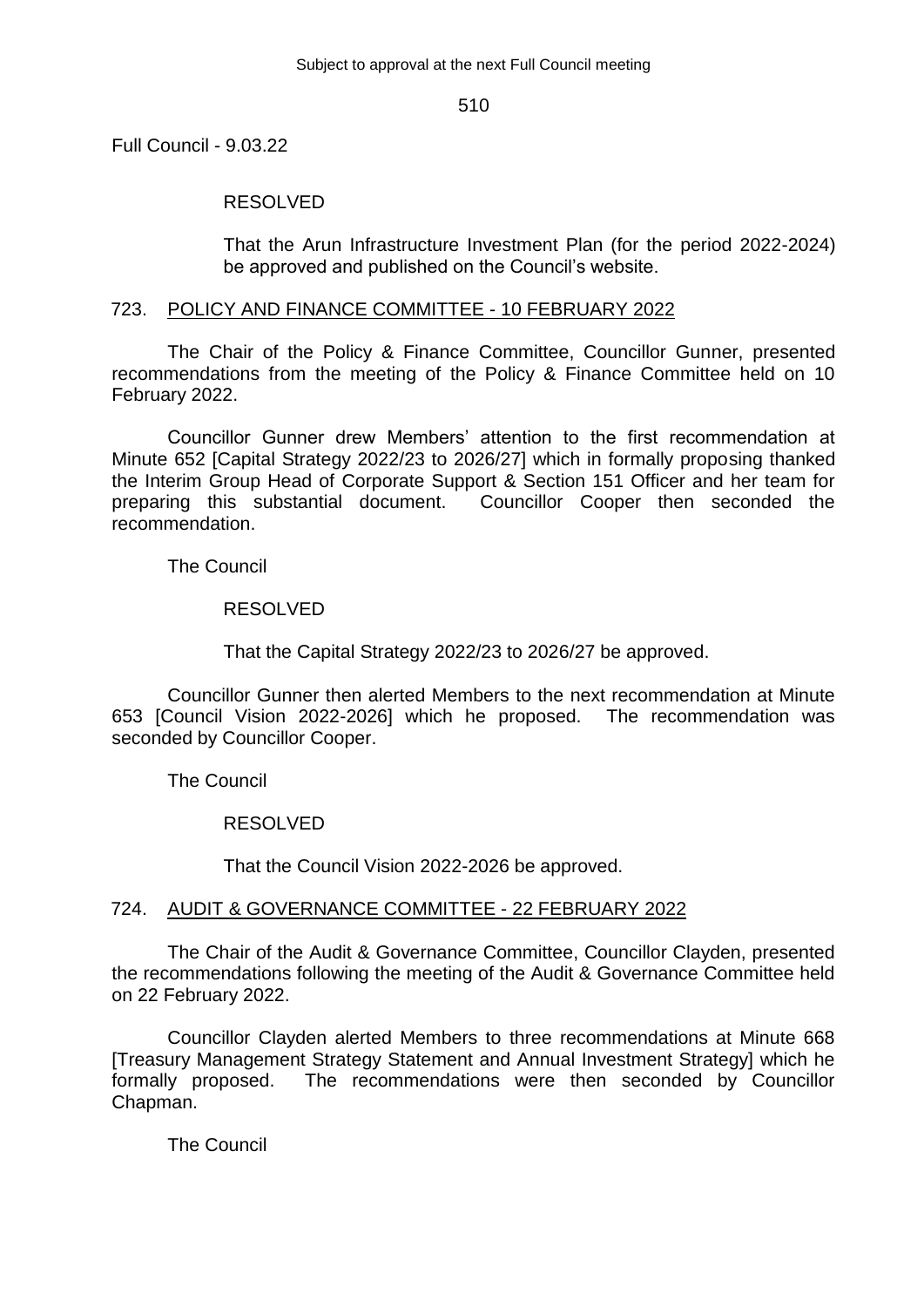Full Council - 9.03.22

### RESOLVED

That the Arun Infrastructure Investment Plan (for the period 2022-2024) be approved and published on the Council's website.

#### 723. POLICY AND FINANCE COMMITTEE - 10 FEBRUARY 2022

The Chair of the Policy & Finance Committee, Councillor Gunner, presented recommendations from the meeting of the Policy & Finance Committee held on 10 February 2022.

Councillor Gunner drew Members' attention to the first recommendation at Minute 652 [Capital Strategy 2022/23 to 2026/27] which in formally proposing thanked the Interim Group Head of Corporate Support & Section 151 Officer and her team for preparing this substantial document. Councillor Cooper then seconded the recommendation.

The Council

## RESOLVED

That the Capital Strategy 2022/23 to 2026/27 be approved.

Councillor Gunner then alerted Members to the next recommendation at Minute 653 [Council Vision 2022-2026] which he proposed. The recommendation was seconded by Councillor Cooper.

The Council

#### RESOLVED

That the Council Vision 2022-2026 be approved.

## 724. AUDIT & GOVERNANCE COMMITTEE - 22 FEBRUARY 2022

The Chair of the Audit & Governance Committee, Councillor Clayden, presented the recommendations following the meeting of the Audit & Governance Committee held on 22 February 2022.

Councillor Clayden alerted Members to three recommendations at Minute 668 [Treasury Management Strategy Statement and Annual Investment Strategy] which he formally proposed. The recommendations were then seconded by Councillor Chapman.

The Council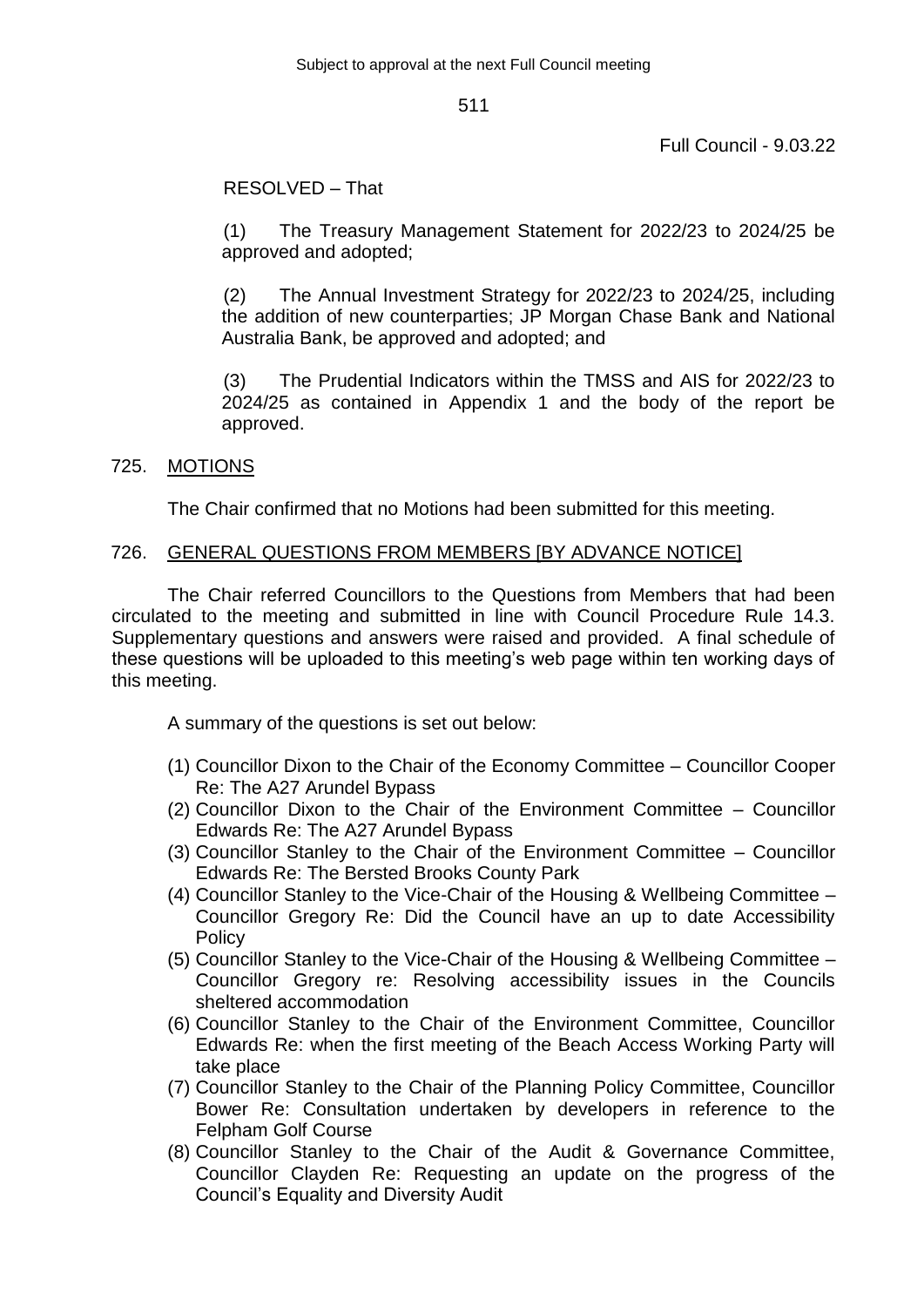Full Council - 9.03.22

## RESOLVED – That

(1) The Treasury Management Statement for 2022/23 to 2024/25 be approved and adopted;

(2) The Annual Investment Strategy for 2022/23 to 2024/25, including the addition of new counterparties; JP Morgan Chase Bank and National Australia Bank, be approved and adopted; and

(3) The Prudential Indicators within the TMSS and AIS for 2022/23 to 2024/25 as contained in Appendix 1 and the body of the report be approved.

## 725. MOTIONS

The Chair confirmed that no Motions had been submitted for this meeting.

## 726. GENERAL QUESTIONS FROM MEMBERS [BY ADVANCE NOTICE]

The Chair referred Councillors to the Questions from Members that had been circulated to the meeting and submitted in line with Council Procedure Rule 14.3. Supplementary questions and answers were raised and provided. A final schedule of these questions will be uploaded to this meeting's web page within ten working days of this meeting.

A summary of the questions is set out below:

- (1) Councillor Dixon to the Chair of the Economy Committee Councillor Cooper Re: The A27 Arundel Bypass
- (2) Councillor Dixon to the Chair of the Environment Committee Councillor Edwards Re: The A27 Arundel Bypass
- (3) Councillor Stanley to the Chair of the Environment Committee Councillor Edwards Re: The Bersted Brooks County Park
- (4) Councillor Stanley to the Vice-Chair of the Housing & Wellbeing Committee Councillor Gregory Re: Did the Council have an up to date Accessibility **Policy**
- (5) Councillor Stanley to the Vice-Chair of the Housing & Wellbeing Committee Councillor Gregory re: Resolving accessibility issues in the Councils sheltered accommodation
- (6) Councillor Stanley to the Chair of the Environment Committee, Councillor Edwards Re: when the first meeting of the Beach Access Working Party will take place
- (7) Councillor Stanley to the Chair of the Planning Policy Committee, Councillor Bower Re: Consultation undertaken by developers in reference to the Felpham Golf Course
- (8) Councillor Stanley to the Chair of the Audit & Governance Committee, Councillor Clayden Re: Requesting an update on the progress of the Council's Equality and Diversity Audit